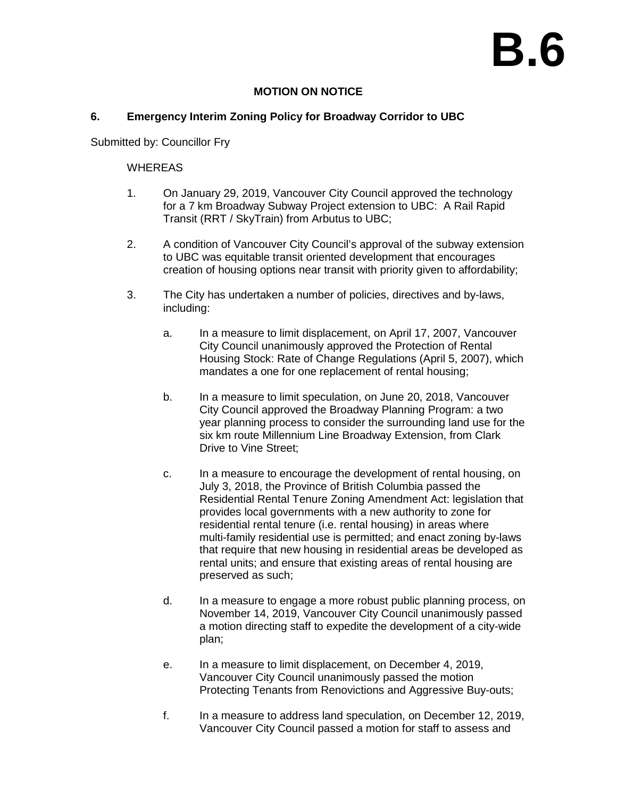# **B.6**

# **MOTION ON NOTICE**

## **6. Emergency Interim Zoning Policy for Broadway Corridor to UBC**

Submitted by: Councillor Fry

### WHEREAS

- 1. On January 29, 2019, Vancouver City Council approved the technology for a 7 km Broadway Subway Project extension to UBC: A Rail Rapid Transit (RRT / SkyTrain) from Arbutus to UBC;
- 2. A condition of Vancouver City Council's approval of the subway extension to UBC was equitable transit oriented development that encourages creation of housing options near transit with priority given to affordability;
- 3. The City has undertaken a number of policies, directives and by-laws, including:
	- a. In a measure to limit displacement, on April 17, 2007, Vancouver City Council unanimously approved the Protection of Rental Housing Stock: Rate of Change Regulations (April 5, 2007), which mandates a one for one replacement of rental housing;
	- b. In a measure to limit speculation, on June 20, 2018, Vancouver City Council approved the Broadway Planning Program: a two year planning process to consider the surrounding land use for the six km route Millennium Line Broadway Extension, from Clark Drive to Vine Street;
	- c. In a measure to encourage the development of rental housing, on July 3, 2018, the Province of British Columbia passed the Residential Rental Tenure Zoning Amendment Act: legislation that provides local governments with a new authority to zone for residential rental tenure (i.e. rental housing) in areas where multi-family residential use is permitted; and enact zoning by-laws that require that new housing in residential areas be developed as rental units; and ensure that existing areas of rental housing are preserved as such;
	- d. In a measure to engage a more robust public planning process, on November 14, 2019, Vancouver City Council unanimously passed a motion directing staff to expedite the development of a city-wide plan;
	- e. In a measure to limit displacement, on December 4, 2019, Vancouver City Council unanimously passed the motion Protecting Tenants from Renovictions and Aggressive Buy-outs;
	- f. In a measure to address land speculation, on December 12, 2019, Vancouver City Council passed a motion for staff to assess and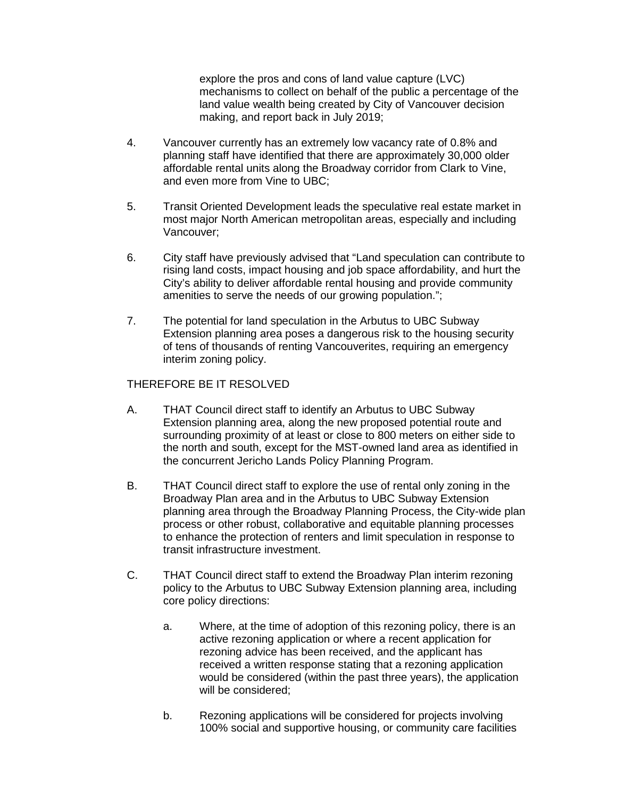explore the pros and cons of land value capture (LVC) mechanisms to collect on behalf of the public a percentage of the land value wealth being created by City of Vancouver decision making, and report back in July 2019;

- 4. Vancouver currently has an extremely low vacancy rate of 0.8% and planning staff have identified that there are approximately 30,000 older affordable rental units along the Broadway corridor from Clark to Vine, and even more from Vine to UBC;
- 5. Transit Oriented Development leads the speculative real estate market in most major North American metropolitan areas, especially and including Vancouver;
- 6. City staff have previously advised that "Land speculation can contribute to rising land costs, impact housing and job space affordability, and hurt the City's ability to deliver affordable rental housing and provide community amenities to serve the needs of our growing population.";
- 7. The potential for land speculation in the Arbutus to UBC Subway Extension planning area poses a dangerous risk to the housing security of tens of thousands of renting Vancouverites, requiring an emergency interim zoning policy.

#### THEREFORE BE IT RESOLVED

- A. THAT Council direct staff to identify an Arbutus to UBC Subway Extension planning area, along the new proposed potential route and surrounding proximity of at least or close to 800 meters on either side to the north and south, except for the MST-owned land area as identified in the concurrent Jericho Lands Policy Planning Program.
- B. THAT Council direct staff to explore the use of rental only zoning in the Broadway Plan area and in the Arbutus to UBC Subway Extension planning area through the Broadway Planning Process, the City-wide plan process or other robust, collaborative and equitable planning processes to enhance the protection of renters and limit speculation in response to transit infrastructure investment.
- C. THAT Council direct staff to extend the Broadway Plan interim rezoning policy to the Arbutus to UBC Subway Extension planning area, including core policy directions:
	- a. Where, at the time of adoption of this rezoning policy, there is an active rezoning application or where a recent application for rezoning advice has been received, and the applicant has received a written response stating that a rezoning application would be considered (within the past three years), the application will be considered;
	- b. Rezoning applications will be considered for projects involving 100% social and supportive housing, or community care facilities